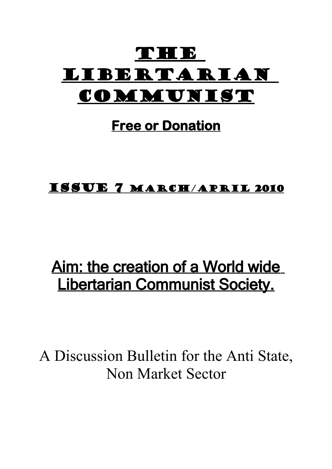# **The Theory** Libertarian COMMUNIST

# **Free or Donation**

# Issue 7 March/April 2010

# Aim: the creation of a World wide Libertarian Communist Society.

A Discussion Bulletin for the Anti State, Non Market Sector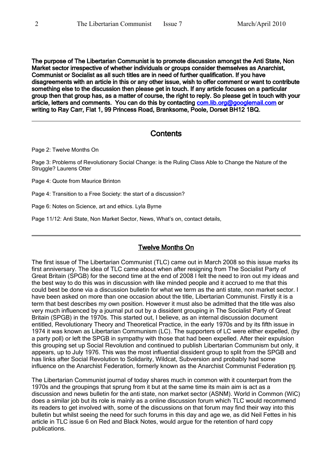The purpose of The Libertarian Communist is to promote discussion amongst the Anti State, Non Market sector irrespective of whether individuals or groups consider themselves as Anarchist, Communist or Socialist as all such titles are in need of further qualification. If you have disagreements with an article in this or any other issue, wish to offer comment or want to contribute something else to the discussion then please get in touch. If any article focuses on a particular group then that group has, as a matter of course, the right to reply. So please get in touch with your article, letters and comments. You can do this by contacting com. lib.org@googlemail.com or writing to Ray Carr, Flat 1, 99 Princess Road, Branksome, Poole, Dorset BH12 1BQ.

# **Contents**

Page 2: Twelve Months On

Page 3: Problems of Revolutionary Social Change: is the Ruling Class Able to Change the Nature of the Struggle? Laurens Otter

Page 4: Quote from Maurice Brinton

Page 4: Transition to a Free Society: the start of a discussion?

Page 6: Notes on Science, art and ethics. Lyla Byrne

Page 11/12: Anti State, Non Market Sector, News, What's on, contact details,

#### Twelve Months On

The first issue of The Libertarian Communist (TLC) came out in March 2008 so this issue marks its first anniversary. The idea of TLC came about when after resigning from The Socialist Party of Great Britain (SPGB) for the second time at the end of 2008 I felt the need to iron out my ideas and the best way to do this was in discussion with like minded people and it accrued to me that this could best be done via a discussion bulletin for what we term as the anti state, non market sector. I have been asked on more than one occasion about the title, Libertarian Communist. Firstly it is a term that best describes my own position. However it must also be admitted that the title was also very much influenced by a journal put out by a dissident grouping in The Socialist Party of Great Britain (SPGB) in the 1970s. This started out, I believe, as an internal discussion document entitled, Revolutionary Theory and Theoretical Practice, in the early 1970s and by its fifth issue in 1974 it was known as Libertarian Communism (LC). The supporters of LC were either expelled, (by a party poll) or left the SPGB in sympathy with those that had been expelled. After their expulsion this grouping set up Social Revolution and continued to publish Libertarian Communism but only, it appears, up to July 1976. This was the most influential dissident group to split from the SPGB and has links after Social Revolution to Solidarity, Wildcat, Subversion and probably had some influence on the Anarchist Federation, formerly known as the Anarchist Communist Federation [1].

The Libertarian Communist journal of today shares much in common with it counterpart from the 1970s and the groupings that sprung from it but at the same time its main aim is act as a discussion and news bulletin for the anti state, non market sector (ASNM). World in Common (WiC) does a similar job but its role is mainly as a online discussion forum which TLC would recommend its readers to get involved with, some of the discussions on that forum may find their way into this bulletin but whilst seeing the need for such forums in this day and age we, as did Neil Fettes in his article in TLC issue 6 on Red and Black Notes, would argue for the retention of hard copy publications.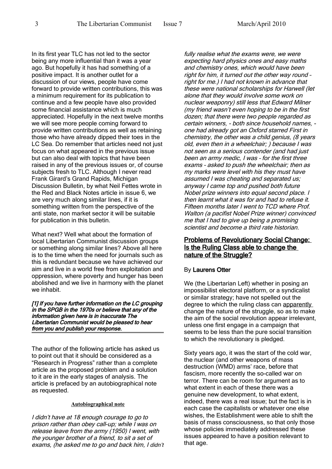In its first year TLC has not led to the sector being any more influential than it was a year ago. But hopefully it has had something of a positive impact. It is another outlet for a discussion of our views, people have come forward to provide written contributions, this was a minimum requirement for its publication to continue and a few people have also provided some financial assistance which is much appreciated. Hopefully in the next twelve months we will see more people coming forward to provide written contributions as well as retaining those who have already dipped their toes in the LC Sea. Do remember that articles need not just focus on what appeared in the previous issue but can also deal with topics that have been raised in any of the previous issues or, of course subjects fresh to TLC. Although I never read Frank Girard's Grand Rapids, Michigan Discussion Bulletin, by what Neil Fettes wrote in the Red and Black Notes article in issue 6, we are very much along similar lines, if it is something written from the perspective of the anti state, non market sector it will be suitable for publication in this bulletin.

What next? Well what about the formation of local Libertarian Communist discussion groups or something along similar lines? Above all here is to the time when the need for journals such as this is redundant because we have achieved our aim and live in a world free from exploitation and oppression, where poverty and hunger has been abolished and we live in harmony with the planet we inhabit.

#### [1] If you have further information on the LC grouping in the SPGB in the 1970s or believe that any of the information given here is in inaccurate The Libertarian Communist would be pleased to hear from you and publish your response.

The author of the following article has asked us to point out that it should be considered as a "Research in Progress" rather than a complete article as the proposed problem and a solution to it are in the early stages of analysis. The article is prefaced by an autobiographical note as requested.

#### **Autobiographical note**

I didn't have at 18 enough courage to go to prison rather than obey call-up; while I was on release leave from the army (1950) I went, with the younger brother of a friend, to sit a set of exams, (he asked me to go and back him, I didn't fully realise what the exams were, we were expecting hard physics ones and easy maths and chemistry ones, which would have been right for him, it turned out the other way round – right for me.) I had not known in advance that these were national scholarships for Harwell (let alone that they would involve some work on nuclear weaponry) still less that Edward Milner (my friend wasn't even hoping to be in the first dozen; that there were two people regarded as certain winners, - both since household names, one had already got an Oxford starred First in chemistry, the other was a child genius, (8 years old, even then in a wheelchair; ) because I was not seen as a serious contender (and had just been an army medic, I was – for the first three exams – asked to push the wheelchair; then as my marks were level with his they must have assumed I was cheating and separated us; anyway I came top and pushed both future Nobel prize winners into equal second place. I then learnt what it was for and had to refuse it. Fifteen months later I went to TCD where Prof. Walton (a pacifist Nobel Prize winner) convinced me that I had to give up being a promising scientist and become a third rate historian.

#### Problems of Revolutionary Social Change: Is the Ruling Class able to change the nature of the Struggle?

#### By Laurens Otter

We (the Libertarian Left) whether in posing an impossibilist electoral platform, or a syndicalist or similar strategy; have not spelled out the degree to which the ruling class can apparently change the nature of the struggle, so as to make the aim of the social revolution appear irrelevant, unless one first engage in a campaign that seems to be less than the pure social transition to which the revolutionary is pledged.

Sixty years ago, it was the start of the cold war, the nuclear (and other weapons of mass destruction (WMD) arms' race, before that fascism, more recently the so-called war on terror. There can be room for argument as to what extent in each of these there was a genuine new development, to what extent, indeed, there was a real issue; but the fact is in each case the capitalists or whatever one else wishes, the Establishment were able to shift the basis of mass consciousness, so that only those whose policies immediately addressed these issues appeared to have a position relevant to that age.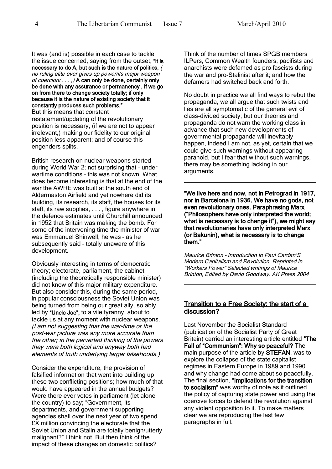It was (and is) possible in each case to tackle the issue concerned, saying from the outset, "it is necessary to do A, but such is the nature of politics, ( no ruling elite ever gives up power/its major weapon of coercion/..., ) A can only be done, certainly only be done with any assurance or permanency , if we go on from there to change society totally; if only because it is the nature of existing society that it constantly produces such problems." But this means that constant restatement/updating of the revolutionary position is necessary, (if we are not to appear irrelevant,) making our fidelity to our original position less apparent; and of course this engenders splits.

British research on nuclear weapons started during World War 2; not surprising that - under wartime conditions – this was not known. What does become interesting is that at the end of the war the AWRE was built at the south end of Aldermaston Airfield and yet nowhere did its building, its research, its staff, the houses for its staff, its raw supplies, . . . , figure anywhere in the defence estimates until Churchill announced in 1952 that Britain was making the bomb. For some of the intervening time the minister of war was Emmanuel Shinwell, he was – as he subsequently said – totally unaware of this development.

Obviously interesting in terms of democratic theory; electorate, parliament, the cabinet (including the theoretically responsible minister) did not know of this major military expenditure. But also consider this, during the same period, in popular consciousness the Soviet Union was being turned from being our great ally, so ably led by "Uncle Joe", to a vile tyranny, about to tackle us at any moment with nuclear weapons. (I am not suggesting that the war-time or the post-war picture was any more accurate than the other; in the perverted thinking of the powers they were both logical and anyway both had elements of truth underlying larger falsehoods.)

Consider the expenditure, the provision of falsified information that went into building up these two conflicting positions; how much of that would have appeared in the annual budgets? Were there ever votes in parliament (let alone the country) to say; "Government, its departments, and government supporting agencies shall over the next year of two spend £X million convincing the electorate that the Soviet Union and Stalin are totally benign/utterly malignant?" I think not. But then think of the impact of these changes on domestic politics?

Think of the number of times SPGB members ILPers, Common Wealth founders, pacifists and anarchists were defamed as pro fascists during the war and pro-Stalinist after it; and how the defamers had switched back and forth.

No doubt in practice we all find ways to rebut the propaganda, we all argue that such twists and lies are all symptomatic of the general evil of class-divided society; but our theories and propaganda do not warn the working class in advance that such new developments of governmental propaganda will inevitably happen, indeed I am not, as yet, certain that we could give such warnings without appearing paranoid, but I fear that without such warnings, there may be something lacking in our arguments.

"We live here and now, not in Petrograd in 1917, nor in Barcelona in 1936. We have no gods, not even revolutionary ones. Paraphrasing Marx ("Philosophers have only interpreted the world; what is necessary is to change it"), we might say that revolutionaries have only interpreted Marx (or Bakunin), what is necessary is to change them."

Maurice Brinton – Introduction to Paul Cardan'S Modern Capitalism and Revolution. Reprinted in "Workers Power" Selected writings of Maurice Brinton, Edited by David Goodway. AK Press 2004

#### Transition to a Free Society: the start of a discussion?

Last November the Socialist Standard (publication of the Socialist Party of Great Britain) carried an interesting article entitled "The Fall of "Communism": Why so peaceful? The main purpose of the article by STEFAN, was to explore the collapse of the state capitalist regimes in Eastern Europe in 1989 and 1990 and why change had come about so peacefully. The final section, "Implications for the transition to socialism" was worthy of note as it outlined the policy of capturing state power and using the coercive forces to defend the revolution against any violent opposition to it. To make matters clear we are reproducing the last few paragraphs in full.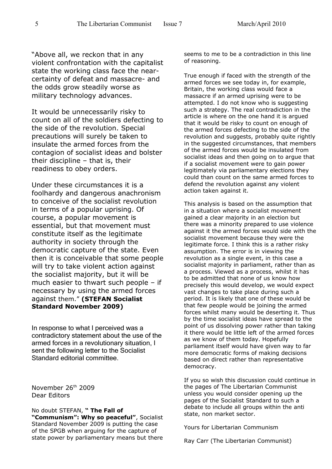"Above all, we reckon that in any violent confrontation with the capitalist state the working class face the nearcertainty of defeat and massacre- and the odds grow steadily worse as military technology advances.

It would be unnecessarily risky to count on all of the soldiers defecting to the side of the revolution. Special precautions will surely be taken to insulate the armed forces from the contagion of socialist ideas and bolster their discipline – that is, their readiness to obey orders.

Under these circumstances it is a foolhardy and dangerous anachronism to conceive of the socialist revolution in terms of a popular uprising. Of course, a popular movement is essential, but that movement must constitute itself as the legitimate authority in society through the democratic capture of the state. Even then it is conceivable that some people will try to take violent action against the socialist majority, but it will be much easier to thwart such people – if necessary by using the armed forces against them." **(STEFAN Socialist Standard November 2009)**

In response to what I perceived was a contradictory statement about the use of the armed forces in a revolutionary situation, I sent the following letter to the Socialist Standard editorial committee.

November 26<sup>th</sup> 2009 Dear Editors

#### No doubt STEFAN, **" The Fall of**

**"Communism": Why so peaceful"**, Socialist Standard November 2009 is putting the case of the SPGB when arguing for the capture of state power by parliamentary means but there

seems to me to be a contradiction in this line of reasoning.

True enough if faced with the strength of the armed forces we see today in, for example, Britain, the working class would face a massacre if an armed uprising were to be attempted. I do not know who is suggesting such a strategy. The real contradiction in the article is where on the one hand it is argued that it would be risky to count on enough of the armed forces defecting to the side of the revolution and suggests, probably quite rightly in the suggested circumstances, that members of the armed forces would be insulated from socialist ideas and then going on to argue that if a socialist movement were to gain power legitimately via parliamentary elections they could than count on the same armed forces to defend the revolution against any violent action taken against it.

This analysis is based on the assumption that in a situation where a socialist movement gained a clear majority in an election but there was a minority prepared to use violence against it the armed forces would side with the socialist movement because they were the legitimate force. I think this is a rather risky assumption. The error is in viewing the revolution as a single event, in this case a socialist majority in parliament, rather than as a process. Viewed as a process, whilst it has to be admitted that none of us know how precisely this would develop, we would expect vast changes to take place during such a period. It is likely that one of these would be that few people would be joining the armed forces whilst many would be deserting it. Thus by the time socialist ideas have spread to the point of us dissolving power rather than taking it there would be little left of the armed forces as we know of them today. Hopefully parliament itself would have given way to far more democratic forms of making decisions based on direct rather than representative democracy.

If you so wish this discussion could continue in the pages of The Libertarian Communist unless you would consider opening up the pages of the Socialist Standard to such a debate to include all groups within the anti state, non market sector.

Yours for Libertarian Communism

Ray Carr (The Libertarian Communist)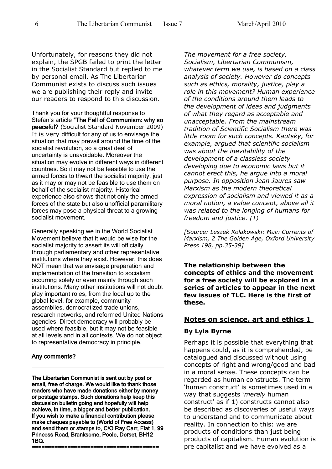Unfortunately, for reasons they did not explain, the SPGB failed to print the letter in the Socialist Standard but replied to me by personal email. As The Libertarian Communist exists to discuss such issues we are publishing their reply and invite our readers to respond to this discussion.

Thank you for your thoughtful response to Stefan's article "The Fall of Communism: why so peaceful? (Socialist Standard November 2009) It is very difficult for any of us to envisage the situation that may prevail around the time of the socialist revolution, so a great deal of uncertainty is unavoidable. Moreover the situation may evolve in different ways in different countries. So it may not be feasible to use the armed forces to thwart the socialist majority, just as it may or may not be feasible to use them on behalf of the socialist majority. Historical experience also shows that not only the armed forces of the state but also unofficial paramilitary forces may pose a physical threat to a growing socialist movement.

Generally speaking we in the World Socialist Movement believe that it would be wise for the socialist majority to assert its will officially through parliamentary and other representative institutions where they exist. However, this does NOT mean that we envisage preparation and implementation of the transition to socialism occurring solely or even mainly through such institutions. Many other institutions will not doubt play important roles, from the local up to the global level, for example, community assemblies, democratized trade unions, research networks, and reformed United Nations agencies. Direct democracy will probably be used where feasible, but it may not be feasible at all levels and in all contexts. We do not object to representative democracy in principle.

#### Any comments?

The Libertarian Communist is sent out by post or email, free of charge. We would like to thank those readers who have made donations either by money or postage stamps. Such donations help keep this discussion bulletin going and hopefully will help achieve, in time, a bigger and better publication. If you wish to make a financial contribution please make cheques payable to (World of Free Access) and send them or stamps to, C/O Ray Carr, Flat 1, 99 Princess Road, Branksome, Poole, Dorset, BH12 1BQ.

=======================================

*The movement for a free society, Socialism, Libertarian Communism, whatever term we use, is based on a class analysis of society. However do concepts such as ethics, morality, justice, play a role in this movement? Human experience of the conditions around them leads to the development of ideas and judgments of what they regard as acceptable and unacceptable. From the mainstream tradition of Scientific Socialism there was little room for such concepts. Kautsky, for example, argued that scientific socialism was about the inevitability of the development of a classless society developing due to economic laws but it cannot erect this, he argue into a moral purpose. In opposition Jean Jaures saw Marxism as the modern theoretical expression of socialism and viewed it as a moral notion, a value concept, above all it was related to the longing of humans for freedom and justice. (1)*

*[Source: Leszek Kolakowski: Main Currents of Marxism, 2 The Golden Age, Oxford University Press 198, pp.35-39]*

**The relationship between the concepts of ethics and the movement for a free society will be explored in a series of articles to appear in the next few issues of TLC. Here is the first of these.**

## **Notes on science, art and ethics 1**

## **By Lyla Byrne**

Perhaps it is possible that everything that happens could, as it is comprehended, be catalogued and discussed without using concepts of right and wrong/good and bad in a moral sense. These concepts can be regarded as human constructs. The term 'human construct' is sometimes used in a way that suggests '*merely* human construct' as if 1) constructs cannot also be described as discoveries of useful ways to understand and to communicate about reality. In connection to this: we are products of conditions than just being products of capitalism. Human evolution is pre capitalist and we have evolved as a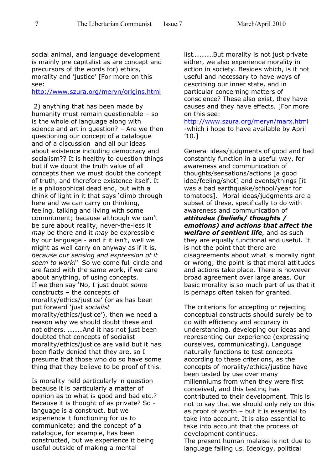social animal, and language development is mainly pre capitalist as are concept and precursors of the words for) ethics, morality and 'justice' [For more on this see:

#### <http://www.szura.org/meryn/origins.html>

 2) anything that has been made by humanity must remain questionable – so is the whole of language along with science and art in question? – Are we then questioning our concept of a catalogue and of a discussion and all our ideas about existence including democracy and socialism?? It is healthy to question things but if we doubt the truth value of all concepts then we must doubt the concept of truth, and therefore existence itself. It is a philosophical dead end, but with a chink of light in it that says 'climb through here and we can carry on thinking, feeling, talking and living with some commitment; because although we can't be sure about reality, never-the-less it *may* be there and it *may* be expressible by our language - and if it isn't, well we might as well carry on anyway as if it is, *because our sensing and expression of it seem to work!'* So we come full circle and are faced with the same work, if we care about anything, of using concepts. If we then say 'No, I just doubt *some* constructs – the concepts of morality/ethics/justice' (or as has been put forward 'just *socialist* morality/ethics/justice'), then we need a reason why we should doubt these and not others. ………And it has not just been doubted that concepts of socialist morality/ethics/justice are valid but it has been flatly denied that they are, so I presume that those who do so have some thing that they believe to be proof of this.

Is morality held particularly in question because it is particularly a matter of opinion as to what is good and bad etc.? Because it is thought of as private? So language is a construct, but we experience it functioning for us to communicate; and the concept of a catalogue, for example, has been constructed, but we experience it being useful outside of making a mental

list…………But morality is not just private either, we also experience morality in action in society. Besides which, is it not useful and necessary to have ways of describing our inner state, and in particular concerning matters of conscience? These also exist, they have causes and they have effects. [For more on this see:

<http://www.szura.org/meryn/marx.html> -which i hope to have available by April '10.]

General ideas/judgments of good and bad constantly function in a useful way, for awareness and communication of thoughts/sensations/actions [a good idea/feeling/shot] and events/things [it was a bad earthquake/school/year for tomatoes]. Moral ideas/judgments are a subset of these, specifically to do with awareness and communication of *attitudes (beliefs/ thoughts / emotions) and actions that affect the welfare of sentient life,* and as such they are equally functional and useful. It is not the point that there are disagreements about what is morally right or wrong; the point is that moral attitudes and actions take place. There is however broad agreement over large areas. Our basic morality is so much part of us that it is perhaps often taken for granted.

The criterions for accepting or rejecting conceptual constructs should surely be to do with efficiency and accuracy in understanding, developing our ideas and representing our experience (expressing ourselves, communicating). Language naturally functions to test concepts according to these criterions, as the concepts of morality/ethics/justice have been tested by use over many millenniums from when they were first conceived, and this testing has contributed to their development. This is not to say that we should only rely on this as proof of worth – but it is essential to take into account. It is also essential to take into account that the process of development continues.

The present human malaise is not due to language failing us. Ideology, political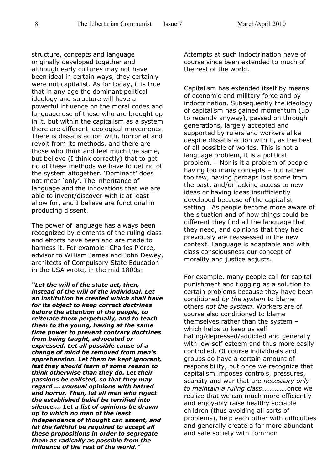structure, concepts and language originally developed together and although early cultures may not have been ideal in certain ways, they certainly were not capitalist. As for today, it is true that in any age the dominant political ideology and structure will have a powerful influence on the moral codes and language use of those who are brought up in it, but within the capitalism as a system there are different ideological movements. There is dissatisfaction with, horror at and revolt from its methods, and there are those who think and feel much the same, but believe (I think correctly) that to get rid of these methods we have to get rid of the system altogether. 'Dominant' does not mean 'only'. The inheritance of language and the innovations that we are able to invent/discover with it at least allow for, and I believe are functional in producing dissent.

The power of language has always been recognized by elements of the ruling class and efforts have been and are made to harness it. For example: Charles Pierce, advisor to William James and John Dewey, architects of Compulsory State Education in the USA wrote, in the mid 1800s:

*"Let the will of the state act, then, instead of the will of the individual. Let an institution be created which shall have for its object to keep correct doctrines before the attention of the people, to reiterate them perpetually, and to teach them to the young, having at the same time power to prevent contrary doctrines from being taught, advocated or expressed. Let all possible cause of a change of mind be removed from men's apprehension. Let them be kept ignorant, lest they should learn of some reason to think otherwise than they do. Let their passions be enlisted, so that they may regard … unusual opinions with hatred and horror. Then, let all men who reject the established belief be terrified into silence…. Let a list of opinions be drawn up to which no man of the least independence of thought can assent, and let the faithful be required to accept all these propositions in order to segregate them as radically as possible from the influence of the rest of the world."*

Attempts at such indoctrination have of course since been extended to much of the rest of the world.

Capitalism has extended itself by means of economic and military force and by indoctrination. Subsequently the ideology of capitalism has gained momentum (up to recently anyway), passed on through generations, largely accepted and supported by rulers and workers alike despite dissatisfaction with it, as the best of all possible of worlds. This is not a language problem, it is a political problem. – Nor is it a problem of people having too many concepts – but rather too few, having perhaps lost some from the past, and/or lacking access to new ideas or having ideas insufficiently developed because of the capitalist setting. As people become more aware of the situation and of how things could be different they find all the language that they need, and opinions that they held previously are reassessed in the new context. Language is adaptable and with class consciousness our concept of morality and justice adjusts.

For example, many people call for capital punishment and flogging as a solution to certain problems because they have been conditioned *by the system* to blame others *not the system*. Workers are of course also conditioned to blame themselves rather than the system – which helps to keep us self hating/depressed/addicted and generally with low self esteem and thus more easily controlled. Of course individuals and groups do have a certain amount of responsibility, but once we recognize that capitalism imposes controls, pressures, scarcity and war that are *necessary only to maintain a ruling class……………*once we realize that we can much more efficiently and enjoyably raise healthy sociable children (thus avoiding all sorts of problems), help each other with difficulties and generally create a far more abundant and safe society with common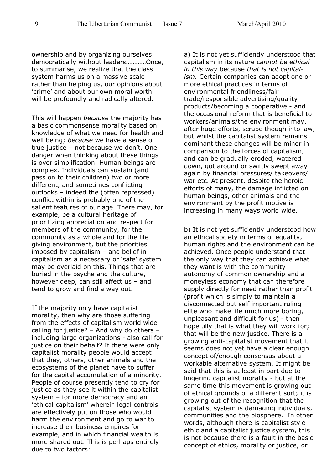ownership and by organizing ourselves democratically without leaders…………Once, to summarise, we realize that the class system harms us on a massive scale rather than helping us, our opinions about 'crime' and about our own moral worth will be profoundly and radically altered.

This will happen *because* the majority has a basic commonsense morality based on knowledge of what we need for health and well being; *because* we have a sense of true justice – not because we don't. One danger when thinking about these things is over simplification. Human beings are complex. Individuals can sustain (and pass on to their children) two or more different, and sometimes conflicting outlooks – indeed the (often repressed) conflict within is probably one of the salient features of our age. There may, for example, be a cultural heritage of prioritizing appreciation and respect for members of the community, for the community as a whole and for the life giving environment, but the priorities imposed by capitalism – and belief in capitalism as a necessary or 'safe' system may be overlaid on this. Things that are buried in the psyche and the culture, however deep, can still affect us – and tend to grow and find a way out.

If the majority only have capitalist morality, then why are those suffering from the effects of capitalism world wide calling for justice? – And why do others – including large organizations - also call for justice on their behalf? If there were only capitalist morality people would accept that they, others, other animals and the ecosystems of the planet have to suffer for the capital accumulation of a minority. People of course presently tend to cry for justice as they see it within the capitalist system – for more democracy and an 'ethical capitalism' wherein legal controls are effectively put on those who would harm the environment and go to war to increase their business empires for example, and in which financial wealth is more shared out. This is perhaps entirely due to two factors:

a) It is not yet sufficiently understood that capitalism in its nature *cannot be ethical in this way* because *that is not capitalism.* Certain companies can adopt one or more ethical practices in terms of environmental friendliness/fair trade/responsible advertising/quality products/becoming a cooperative - and the occasional reform that is beneficial to workers/animals/the environment may, after huge efforts, scrape though into law, but whilst the capitalist system remains dominant these changes will be minor in comparison to the forces of capitalism, and can be gradually eroded, watered down, got around or swiftly swept away again by financial pressures/ takeovers/ war etc. At present, despite the heroic efforts of many, the damage inflicted on human beings, other animals and the environment by the profit motive is increasing in many ways world wide.

b) It is not yet sufficiently understood how an ethical society in terms of equality, human rights and the environment can be achieved. Once people understand that the only way that they can achieve what they want is with the community autonomy of common ownership and a moneyless economy that can therefore supply directly for need rather than profit (profit which is simply to maintain a disconnected but self important ruling elite who make life much more boring, unpleasant and difficult for us) - then hopefully that is what they will work for; that will be the new justice. There is a growing anti-capitalist movement that it seems does not yet have a clear enough concept of/enough consensus about a workable alternative system. It might be said that this is at least in part due to lingering capitalist morality - but at the same time this movement is growing out of ethical grounds of a different sort; it is growing out of the recognition that the capitalist system is damaging individuals, communities and the biosphere. In other words, although there is capitalist style ethic and a capitalist justice system, this is not because there is a fault in the basic concept of ethics, morality or justice, or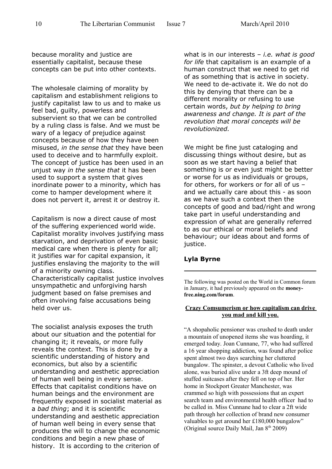because morality and justice are essentially capitalist, because these concepts can be put into other contexts.

The wholesale claiming of morality by capitalism and establishment religions to justify capitalist law to us and to make us feel bad, guilty, powerless and subservient so that we can be controlled by a ruling class is false. And we must be wary of a legacy of prejudice against concepts because of how they have been misused, *in the sense that* they have been used to deceive and to harmfully exploit. The concept of justice has been used in an unjust way *in the sense that* it has been used to support a system that gives inordinate power to a minority, which has come to hamper development where it does not pervert it, arrest it or destroy it.

Capitalism is now a direct cause of most of the suffering experienced world wide. Capitalist morality involves justifying mass starvation, and deprivation of even basic medical care when there is plenty for all; it justifies war for capital expansion, it justifies enslaving the majority to the will of a minority owning class. Characteristically capitalist justice involves unsympathetic and unforgiving harsh judgment based on false premises and often involving false accusations being held over us.

The socialist analysis exposes the truth about our situation and the potential for changing it; it reveals, or more fully reveals the context. This is done by a scientific understanding of history and economics, but also by a scientific understanding and aesthetic appreciation of human well being in every sense. Effects that capitalist conditions have on human beings and the environment are frequently exposed in socialist material as a *bad thing*; and it is scientific understanding and aesthetic appreciation of human well being in every sense that produces the will to change the economic conditions and begin a new phase of history. It is according to the criterion of

what is in our interests – *i.e. what is good for life* that capitalism is an example of a human construct that we need to get rid of as something that is active in society. We need to de-activate it. We do not do this by denying that there can be a different morality or refusing to use certain words, *but by helping to bring awareness and change. It is part of the revolution that moral concepts will be revolutionized.* 

We might be fine just cataloging and discussing things without desire, but as soon as we start having a belief that something is or even just might be better or worse for us as individuals or groups, for others, for workers or for all of us – and we actually care about this - as soon as we have such a context then the concepts of good and bad/right and wrong take part in useful understanding and expression of what are generally referred to as our ethical or moral beliefs and behaviour; our ideas about and forms of justice.

#### **Lyla Byrne**

The following was posted on the World in Common forum in January, it had previously appeared on the **moneyfree.ning.com/forum**.

#### **Crazy Comsumerism or how capitalism can drive you mad and kill you.**

"A shopaholic pensioner was crushed to death under a mountain of unopened items she was hoarding, it emerged today. Joan Cunnane, 77, who had suffered a 16 year shopping addiction, was found after police spent almost two days searching her cluttered bungalow. The spinster, a devout Catholic who lived alone, was buried alive under a 3ft deep mound of stuffed suitcases after they fell on top of her. Her home in Stockport Greater Manchester, was crammed so high with possessions that an expert search team and environmental health officer had to be called in. Miss Cunnane had to clear a 2ft wide path through her collection of brand new consumer valuables to get around her £180,000 bungalow" (Original source Daily Mail, Jan  $8<sup>th</sup> 2009$ )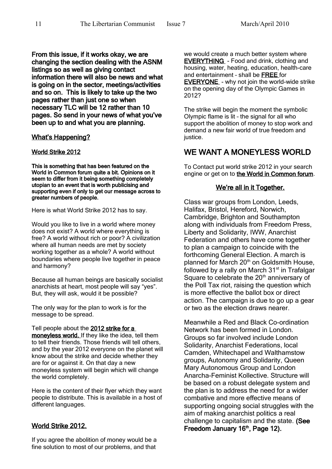From this issue, if it works okay, we are changing the section dealing with the ASNM listings so as well as giving contact information there will also be news and what is going on in the sector, meetings/activities and so on. This is likely to take up the two pages rather than just one so when necessary TLC will be 12 rather than 10 pages. So send in your news of what you've been up to and what you are planning.

#### What's Happening?

#### World Strike 2012

This is something that has been featured on the World in Common forum quite a bit. Opinions on it seem to differ from it being something completely utopian to an event that is worth publicising and supporting even if only to get our message across to greater numbers of people.

Here is what World Strike 2012 has to say.

Would you like to live in a world where money does not exist? A world where everything is free? A world without rich or poor? A civilization where all human needs are met by society working together as a whole? A world without boundaries where people live together in peace and harmony?

Because all human beings are basically socialist anarchists at heart, most people will say "yes". But, they will ask, would it be possible?

The only way for the plan to work is for the message to be spread.

Tell people about the 2012 strike for a moneyless world. If they like the idea, tell them to tell their friends. Those friends will tell others, and by the year 2012 everyone on the planet will know about the strike and decide whether they are for or against it. On that day a new moneyless system will begin which will change the world completely.

Here is the content of their flyer which they want people to distribute. This is available in a host of different languages.

#### World Strike 2012.

If you agree the abolition of money would be a fine solution to most of our problems, and that

we would create a much better system where EVERYTHING - Food and drink, clothing and housing, water, heating, education, health-care and entertainment – shall be FREE for **EVERYONE** - why not join the world-wide strike on the opening day of the Olympic Games in 2012?

The strike will begin the moment the symbolic Olympic flame is lit – the signal for all who support the abolition of money to stop work and demand a new fair world of true freedom and justice.

# WE WANT A MONEYLESS WORLD

To Contact put world strike 2012 in your search engine or get on to the World in Common forum.

#### We're all in it Together.

Class war groups from London, Leeds, Halifax, Bristol, Hereford, Norwich, Cambridge, Brighton and Southampton along with individuals from Freedom Press, Liberty and Solidarity, IWW, Anarchist Federation and others have come together to plan a campaign to coincide with the forthcoming General Election. A march is planned for March 20<sup>th</sup> on Goldsmith House, followed by a rally on March  $31<sup>st</sup>$  in Trafalgar Square to celebrate the 20<sup>th</sup> anniversary of the Poll Tax riot, raising the question which is more effective the ballot box or direct action. The campaign is due to go up a gear or two as the election draws nearer.

Meanwhile a Red and Black Co-ordination Network has been formed in London. Groups so far involved include London Solidarity, Anarchist Federations, local Camden, Whitechapel and Walthamstow groups, Autonomy and Solidarity, Queen Mary Autonomous Group and London Anarcha-Feminist Kollective. Structure will be based on a robust delegate system and the plan is to address the need for a wider combative and more effective means of supporting ongoing social struggles with the aim of making anarchist politics a real challenge to capitalism and the state. (See Freedom January  $16<sup>th</sup>$ , Page 12).